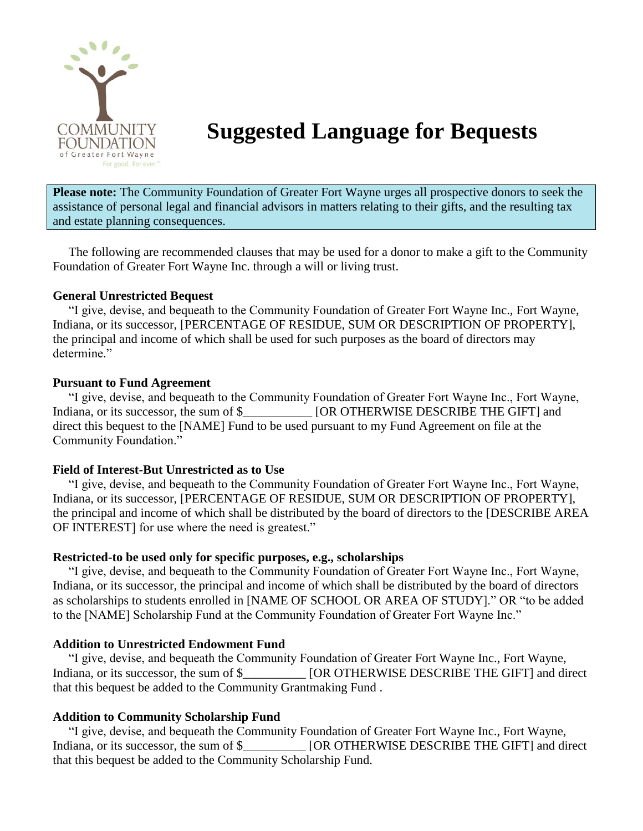

# **Suggested Language for Bequests**

**Please note:** The Community Foundation of Greater Fort Wayne urges all prospective donors to seek the assistance of personal legal and financial advisors in matters relating to their gifts, and the resulting tax and estate planning consequences.

 The following are recommended clauses that may be used for a donor to make a gift to the Community Foundation of Greater Fort Wayne Inc. through a will or living trust.

#### **General Unrestricted Bequest**

 "I give, devise, and bequeath to the Community Foundation of Greater Fort Wayne Inc., Fort Wayne, Indiana, or its successor, [PERCENTAGE OF RESIDUE, SUM OR DESCRIPTION OF PROPERTY], the principal and income of which shall be used for such purposes as the board of directors may determine."

### **Pursuant to Fund Agreement**

 "I give, devise, and bequeath to the Community Foundation of Greater Fort Wayne Inc., Fort Wayne, Indiana, or its successor, the sum of \$  $[OR OTHERWISE DESCRIBE THE GIFT]$  and direct this bequest to the [NAME] Fund to be used pursuant to my Fund Agreement on file at the Community Foundation."

# **Field of Interest-But Unrestricted as to Use**

 "I give, devise, and bequeath to the Community Foundation of Greater Fort Wayne Inc., Fort Wayne, Indiana, or its successor, [PERCENTAGE OF RESIDUE, SUM OR DESCRIPTION OF PROPERTY], the principal and income of which shall be distributed by the board of directors to the [DESCRIBE AREA OF INTEREST] for use where the need is greatest."

# **Restricted-to be used only for specific purposes, e.g., scholarships**

 "I give, devise, and bequeath to the Community Foundation of Greater Fort Wayne Inc., Fort Wayne, Indiana, or its successor, the principal and income of which shall be distributed by the board of directors as scholarships to students enrolled in [NAME OF SCHOOL OR AREA OF STUDY]." OR "to be added to the [NAME] Scholarship Fund at the Community Foundation of Greater Fort Wayne Inc."

# **Addition to Unrestricted Endowment Fund**

 "I give, devise, and bequeath the Community Foundation of Greater Fort Wayne Inc., Fort Wayne, Indiana, or its successor, the sum of \$  $\blacksquare$  [OR OTHERWISE DESCRIBE THE GIFT] and direct that this bequest be added to the Community Grantmaking Fund .

# **Addition to Community Scholarship Fund**

 "I give, devise, and bequeath the Community Foundation of Greater Fort Wayne Inc., Fort Wayne, Indiana, or its successor, the sum of \$\_\_\_\_\_\_\_\_\_\_\_ [OR OTHERWISE DESCRIBE THE GIFT] and direct that this bequest be added to the Community Scholarship Fund.